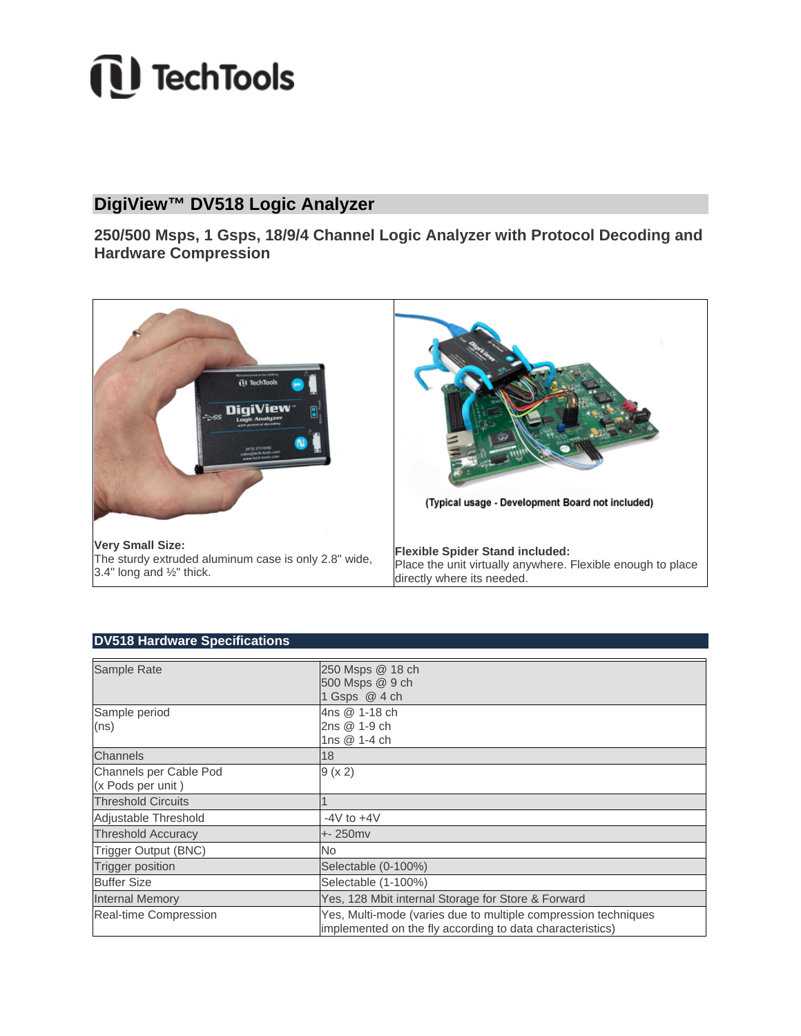# *i* TechTools

# **DigiView™ DV518 Logic Analyzer**

**250/500 Msps, 1 Gsps, 18/9/4 Channel Logic Analyzer with Protocol Decoding and Hardware Compression** 



## **DV518 Hardware Specifications**

| Sample Rate               | 250 Msps @ 18 ch<br>500 Msps @ 9 ch<br>1 Gsps @ 4 ch                                                                        |
|---------------------------|-----------------------------------------------------------------------------------------------------------------------------|
| Sample period             | 4ns @ 1-18 ch                                                                                                               |
| (ns)                      | 2ns @ 1-9 ch                                                                                                                |
|                           | 1ns @ 1-4 ch                                                                                                                |
| Channels                  | 18                                                                                                                          |
| Channels per Cable Pod    | 9 (x 2)                                                                                                                     |
| (x Pods per unit)         |                                                                                                                             |
| <b>Threshold Circuits</b> |                                                                                                                             |
| Adjustable Threshold      | $-4V$ to $+4V$                                                                                                              |
| <b>Threshold Accuracy</b> | $+ 250$ mv                                                                                                                  |
| Trigger Output (BNC)      | No                                                                                                                          |
| <b>Trigger position</b>   | Selectable (0-100%)                                                                                                         |
| <b>Buffer Size</b>        | Selectable (1-100%)                                                                                                         |
| <b>Internal Memory</b>    | Yes, 128 Mbit internal Storage for Store & Forward                                                                          |
| Real-time Compression     | Yes, Multi-mode (varies due to multiple compression techniques<br>implemented on the fly according to data characteristics) |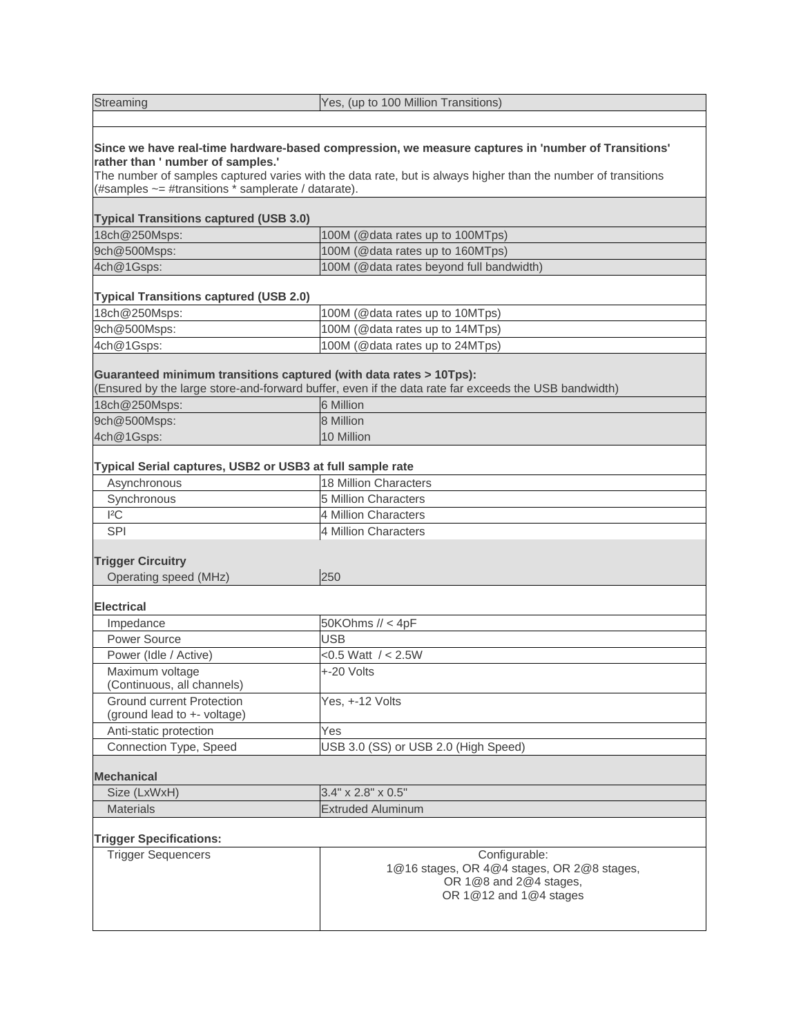Streaming **Yes, (up to 100 Million Transitions) Since we have real-time hardware-based compression, we measure captures in 'number of Transitions' rather than ' number of samples.'**  The number of samples captured varies with the data rate, but is always higher than the number of transitions (#samples ~= #transitions \* samplerate / datarate). **Typical Transitions captured (USB 3.0)** 18ch@250Msps: 18ch@250Msps: 100M (@data rates up to 100MTps) 9ch@500Msps: 100M (@data rates up to 160MTps) 4ch@1Gsps: 100M (@data rates beyond full bandwidth) **Typical Transitions captured (USB 2.0)** 18ch@250Msps: 100M (@data rates up to 10MTps) 9ch@500Msps: 100M (@data rates up to 14MTps) 4ch@1Gsps: 100M (@data rates up to 24MTps) **Guaranteed minimum transitions captured (with data rates > 10Tps):** (Ensured by the large store-and-forward buffer, even if the data rate far exceeds the USB bandwidth) 18ch@250Msps: 6 Million 9ch@500Msps: 8 Million 4ch@1Gsps: 10 Million **Typical Serial captures, USB2 or USB3 at full sample rate** Asynchronous 18 Million Characters Synchronous 5 Million Characters I²C 4 Million Characters SPI 4 Million Characters **Trigger Circuitry** Operating speed (MHz) 250 **Electrical** Impedance 50KOhms // < 4pF Power Source **USB** Power (Idle / Active) <0.5 Watt / < 2.5W Maximum voltage (Continuous, all channels) +-20 Volts Ground current Protection (ground lead to +- voltage) Yes, +-12 Volts Anti-static protection Yes Connection Type, Speed USB 3.0 (SS) or USB 2.0 (High Speed) **Mechanical** Size (LxWxH) 3.4" x 2.8" x 0.5" Materials **Extruded Aluminum Trigger Specifications:** Trigger Sequencers **Configurable:** National Manual Configurable: 1@16 stages, OR 4@4 stages, OR 2@8 stages, OR 1@8 and 2@4 stages, OR 1@12 and 1@4 stages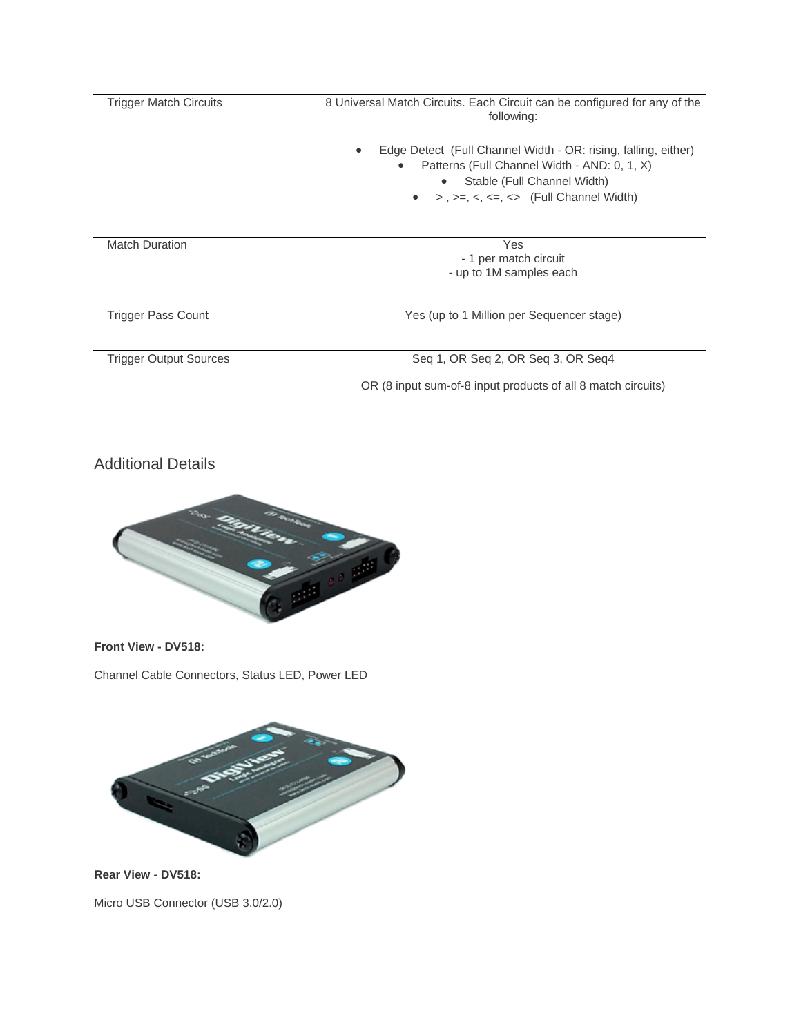| <b>Trigger Match Circuits</b> | 8 Universal Match Circuits. Each Circuit can be configured for any of the<br>following:                                                                                                                                 |
|-------------------------------|-------------------------------------------------------------------------------------------------------------------------------------------------------------------------------------------------------------------------|
|                               | Edge Detect (Full Channel Width - OR: rising, falling, either)<br>$\bullet$<br>Patterns (Full Channel Width - AND: 0, 1, X)<br>$\bullet$<br>Stable (Full Channel Width)<br>$> 1, \geq -5, \leq -5$ (Full Channel Width) |
| <b>Match Duration</b>         | Yes<br>- 1 per match circuit<br>- up to 1M samples each                                                                                                                                                                 |
| <b>Trigger Pass Count</b>     | Yes (up to 1 Million per Sequencer stage)                                                                                                                                                                               |
| <b>Trigger Output Sources</b> | Seq 1, OR Seq 2, OR Seq 3, OR Seq4                                                                                                                                                                                      |
|                               | OR (8 input sum-of-8 input products of all 8 match circuits)                                                                                                                                                            |

# Additional Details



**Front View - DV518:**

Channel Cable Connectors, Status LED, Power LED



**Rear View - DV518:**

Micro USB Connector (USB 3.0/2.0)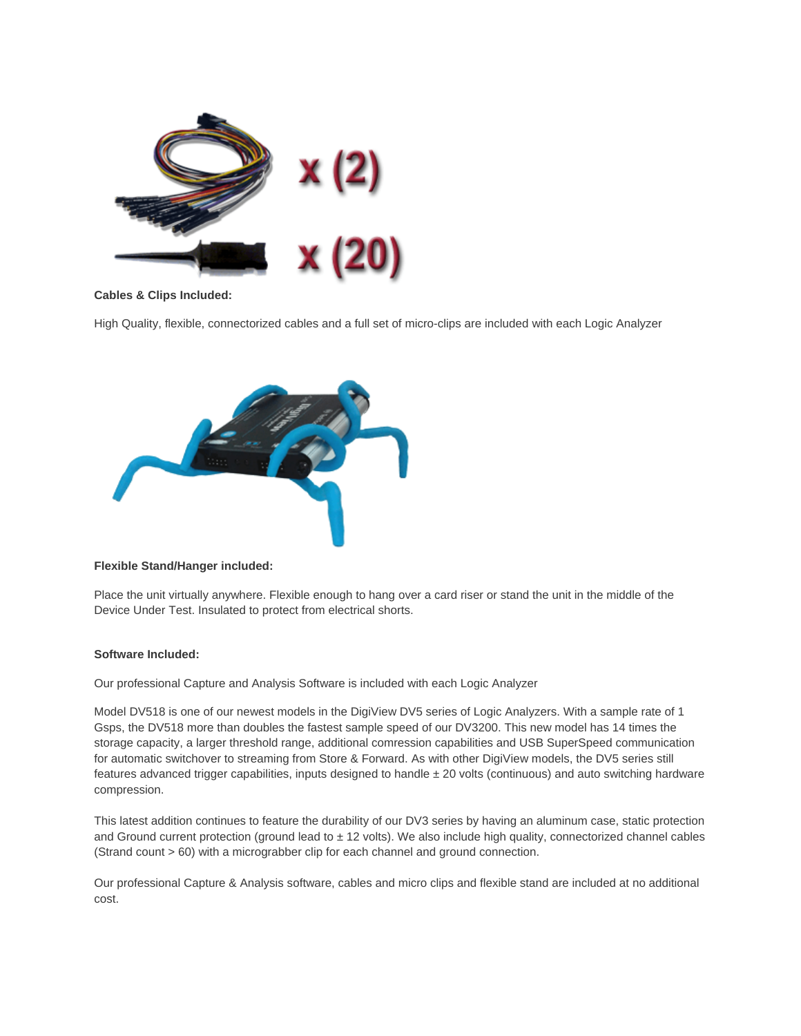

## **Cables & Clips Included:**

High Quality, flexible, connectorized cables and a full set of micro-clips are included with each Logic Analyzer



### **Flexible Stand/Hanger included:**

Place the unit virtually anywhere. Flexible enough to hang over a card riser or stand the unit in the middle of the Device Under Test. Insulated to protect from electrical shorts.

#### **Software Included:**

Our professional Capture and Analysis Software is included with each Logic Analyzer

Model DV518 is one of our newest models in the DigiView DV5 series of Logic Analyzers. With a sample rate of 1 Gsps, the DV518 more than doubles the fastest sample speed of our DV3200. This new model has 14 times the storage capacity, a larger threshold range, additional comression capabilities and USB SuperSpeed communication for automatic switchover to streaming from Store & Forward. As with other DigiView models, the DV5 series still features advanced trigger capabilities, inputs designed to handle  $\pm 20$  volts (continuous) and auto switching hardware compression.

This latest addition continues to feature the durability of our DV3 series by having an aluminum case, static protection and Ground current protection (ground lead to  $\pm$  12 volts). We also include high quality, connectorized channel cables (Strand count > 60) with a micrograbber clip for each channel and ground connection.

Our professional Capture & Analysis software, cables and micro clips and flexible stand are included at no additional cost.